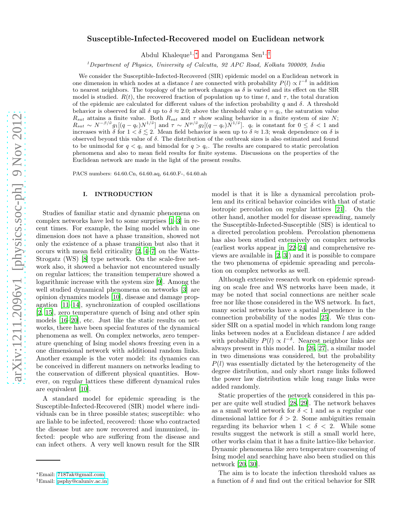# Susceptible-Infected-Recovered model on Euclidean network

Abdul Khaleque<sup>1, [∗](#page-0-0)</sup> and Parongama Sen<sup>1,[†](#page-0-1)</sup>

<sup>1</sup>*Department of Physics, University of Calcutta, 92 APC Road, Kolkata 700009, India*

We consider the Susceptible-Infected-Recovered (SIR) epidemic model on a Euclidean network in one dimension in which nodes at a distance l are connected with probability  $P(l) \propto l^{-\delta}$  in addition to nearest neighbors. The topology of the network changes as  $\delta$  is varied and its effect on the SIR model is studied.  $R(t)$ , the recovered fraction of population up to time t, and  $\tau$ , the total duration of the epidemic are calculated for different values of the infection probability q and  $\delta$ . A threshold behavior is observed for all  $\delta$  up to  $\delta \approx 2.0$ ; above the threshold value  $q = q_c$ , the saturation value  $R_{sat}$  attains a finite value. Both  $R_{sat}$  and  $\tau$  show scaling behavior in a finite system of size N;  $R_{sat} \sim N^{-\beta/\tilde{\nu}} g_1[(q-q_c)N^{1/\tilde{\nu}}]$  and  $\tau \sim N^{\mu/\tilde{\nu}} g_2[(q-q_c)N^{1/\tilde{\nu}}]$ .  $q_c$  is constant for  $0 \le \delta < 1$  and increases with  $\delta$  for  $1 < \delta \leq 2$ . Mean field behavior is seen up to  $\delta \approx 1.3$ ; weak dependence on  $\delta$  is observed beyond this value of δ. The distribution of the outbreak sizes is also estimated and found to be unimodal for  $q < q_c$  and bimodal for  $q > q_c$ . The results are compared to static percolation phenomena and also to mean field results for finite systems. Discussions on the properties of the Euclidean network are made in the light of the present results.

PACS numbers: 64.60.Cn, 64.60.aq, 64.60.F-, 64.60.ah

### I. INTRODUCTION

Studies of familiar static and dynamic phenomena on complex networks have led to some surprises [\[1](#page-6-0)[–3\]](#page-6-1) in recent times. For example, the Ising model which in one dimension does not have a phase transition, showed not only the existence of a phase transition but also that it occurs with mean field criticality [\[2](#page-6-2), [4](#page-6-3)[–7\]](#page-6-4) on the Watts-Strogatz (WS) [\[8\]](#page-6-5) type network. On the scale-free network also, it showed a behavior not encountered usually on regular lattices; the transition temperature showed a logarithmic increase with the system size [\[9](#page-6-6)]. Among the well studied dynamical phenomena on networks [\[3\]](#page-6-1) are opinion dynamics models [\[10\]](#page-6-7), disease and damage propagation [\[11](#page-6-8)[–14](#page-6-9)], synchronization of coupled oscillations [\[2,](#page-6-2) [15](#page-6-10)], zero temperature quench of Ising and other spin models [\[16](#page-6-11)[–20\]](#page-6-12), etc. Just like the static results on networks, there have been special features of the dynamical phenomena as well. On complex networks, zero temperature quenching of Ising model shows freezing even in a one dimensional network with additional random links. Another example is the voter model: its dynamics can be conceived in different manners on networks leading to the conservation of different physical quantities. However, on regular lattices these different dynamical rules are equivalent [\[10\]](#page-6-7).

A standard model for epidemic spreading is the Susceptible-Infected-Recovered (SIR) model where individuals can be in three possible states; susceptible: who are liable to be infected, recovered: those who contracted the disease but are now recovered and immunized, infected: people who are suffering from the disease and can infect others. A very well known result for the SIR model is that it is like a dynamical percolation problem and its critical behavior coincides with that of static isotropic percolation on regular lattices [\[21\]](#page-6-13). On the other hand, another model for disease spreading, namely the Susceptible-Infected-Susceptible (SIS) is identical to a directed percolation problem. Percolation phenomena has also been studied extensively on complex networks (earliest works appear in [\[22](#page-6-14)[–24\]](#page-6-15) and comprehensive reviews are available in [\[2,](#page-6-2) [3\]](#page-6-1)) and it is possible to compare the two phenomena of epidemic spreading and percolation on complex networks as well.

Although extensive research work on epidemic spreading on scale free and WS networks have been made, it may be noted that social connections are neither scale free nor like those considered in the WS network. In fact, many social networks have a spatial dependence in the connection probability of the nodes [\[25\]](#page-7-0). We thus consider SIR on a spatial model in which random long range links between nodes at a Euclidean distance l are added with probability  $P(l) \propto l^{-\delta}$ . Nearest neighbor links are always present in this model. In [\[26](#page-7-1), [27\]](#page-7-2), a similar model in two dimensions was considered, but the probability  $P(l)$  was essentially dictated by the heterogeneity of the degree distribution, and only short range links followed the power law distribution while long range links were added randomly.

Static properties of the network considered in this paper are quite well studied [\[28,](#page-7-3) [29\]](#page-7-4). The network behaves as a small world network for  $\delta < 1$  and as a regular one dimensional lattice for  $\delta > 2$ . Some ambiguities remain regarding its behavior when  $1 < \delta < 2$ . While some results suggest the network is still a small world here, other works claim that it has a finite lattice-like behavior. Dynamic phenomena like zero temperature coarsening of Ising model and searching have also been studied on this network [\[20,](#page-6-12) [30\]](#page-7-5).

The aim is to locate the infection threshold values as a function of  $\delta$  and find out the critical behavior for SIR

<span id="page-0-0"></span><sup>∗</sup>Email: [7187ak@gmail.com](mailto:7187ak@gmail.com)

<span id="page-0-1"></span><sup>†</sup>Email: [psphy@caluniv.ac.in](mailto:psphy@caluniv.ac.in)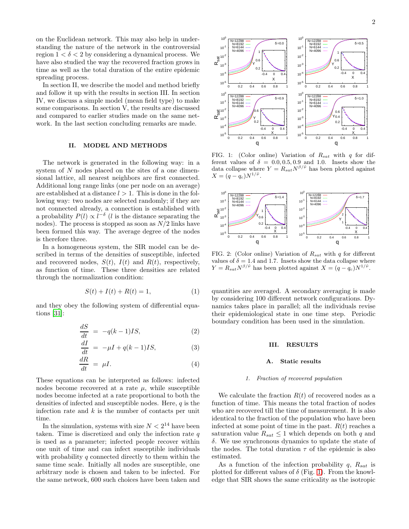on the Euclidean network. This may also help in understanding the nature of the network in the controversial region  $1 < \delta < 2$  by considering a dynamical process. We have also studied the way the recovered fraction grows in time as well as the total duration of the entire epidemic spreading process.

In section II, we describe the model and method briefly and follow it up with the results in section III. In section IV, we discuss a simple model (mean field type) to make some comparisons. In section V, the results are discussed and compared to earlier studies made on the same network. In the last section concluding remarks are made.

### II. MODEL AND METHODS

The network is generated in the following way: in a system of N nodes placed on the sites of a one dimensional lattice, all nearest neighbors are first connected. Additional long range links (one per node on an average) are established at a distance  $l > 1$ . This is done in the following way: two nodes are selected randomly; if they are not connected already, a connection is established with a probability  $P(l) \propto l^{-\delta}$  (l is the distance separating the nodes). The process is stopped as soon as  $N/2$  links have been formed this way. The average degree of the nodes is therefore three.

In a homogeneous system, the SIR model can be described in terms of the densities of susceptible, infected and recovered nodes,  $S(t)$ ,  $I(t)$  and  $R(t)$ , respectively, as function of time. These three densities are related through the normalization condition:

$$
S(t) + I(t) + R(t) = 1,
$$
\n(1)

and they obey the following system of differential equations [\[31](#page-7-6)]:

<span id="page-1-1"></span>
$$
\frac{dS}{dt} = -q(k-1)IS,\t(2)
$$

$$
\frac{dI}{dt} = -\mu I + q(k-1)IS,\tag{3}
$$

$$
\frac{dR}{dt} = \mu I. \tag{4}
$$

These equations can be interpreted as follows: infected nodes become recovered at a rate  $\mu$ , while susceptible nodes become infected at a rate proportional to both the densities of infected and susceptible nodes. Here,  $q$  is the infection rate and  $k$  is the number of contacts per unit time.

 $\frac{c}{1}$ 

In the simulation, systems with size  $N < 2^{14}$  have been taken. Time is discretized and only the infection rate  $q$ is used as a parameter; infected people recover within one unit of time and can infect susceptible individuals with probability q connected directly to them within the same time scale. Initially all nodes are susceptible, one arbitrary node is chosen and taken to be infected. For the same network, 600 such choices have been taken and



<span id="page-1-0"></span>FIG. 1: (Color online) Variation of  $R_{sat}$  with q for different values of  $\delta = 0.0, 0.5, 0.9$  and 1.0. Insets show the data collapse where  $Y = R_{sat} N^{\beta/\tilde{\nu}}$  has been plotted against  $X = (q - q_c) N^{1/\tilde{\nu}}.$ 



FIG. 2: (Color online) Variation of  $R_{sat}$  with q for different values of  $\delta = 1.4$  and 1.7. Insets show the data collapse where  $Y = R_{sat} N^{\beta/\tilde{\nu}}$  has been plotted against  $X = (q - \dot{q_c}) N^{1/\tilde{\nu}}$ .

quantities are averaged. A secondary averaging is made by considering 100 different network configurations. Dynamics takes place in parallel; all the individuals revise their epidemiological state in one time step. Periodic boundary condition has been used in the simulation.

### III. RESULTS

#### A. Static results

#### *1. Fraction of recovered population*

We calculate the fraction  $R(t)$  of recovered nodes as a function of time. This means the total fraction of nodes who are recovered till the time of measurement. It is also identical to the fraction of the population who have been infected at some point of time in the past.  $R(t)$  reaches a saturation value  $R_{sat} \leq 1$  which depends on both q and δ. We use synchronous dynamics to update the state of the nodes. The total duration  $\tau$  of the epidemic is also estimated.

As a function of the infection probability  $q$ ,  $R_{sat}$  is plotted for different values of  $\delta$  (Fig. [1\)](#page-1-0). From the knowledge that SIR shows the same criticality as the isotropic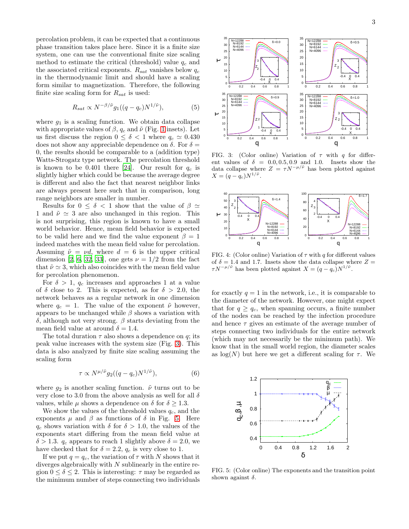percolation problem, it can be expected that a continuous phase transition takes place here. Since it is a finite size system, one can use the conventional finite size scaling method to estimate the critical (threshold) value  $q_c$  and the associated critical exponents.  $R_{sat}$  vanishes below  $q_c$ in the thermodynamic limit and should have a scaling form similar to magnetization. Therefore, the following finite size scaling form for  $R_{sat}$  is used:

$$
R_{sat} \propto N^{-\beta/\tilde{\nu}} g_1((q - q_c) N^{1/\tilde{\nu}}),\tag{5}
$$

where  $g_1$  is a scaling function. We obtain data collapse with appropriate values of  $\beta$ ,  $q_c$  and  $\tilde{\nu}$  (Fig. [1](#page-1-0) insets). Let us first discuss the region  $0 \le \delta < 1$  where  $q_c \simeq 0.430$ does not show any appreciable dependence on  $\delta$ . For  $\delta =$ 0, the results should be comparable to a (addition type) Watts-Strogatz type network. The percolation threshold is known to be 0.401 there [\[24\]](#page-6-15). Our result for  $q_c$  is slightly higher which could be because the average degree is different and also the fact that nearest neighbor links are always present here such that in comparison, long range neighbors are smaller in number.

Results for  $0 \le \delta < 1$  show that the value of  $\beta \simeq$ 1 and  $\tilde{\nu} \simeq 3$  are also unchanged in this region. This is not surprising, this region is known to have a small world behavior. Hence, mean field behavior is expected to be valid here and we find the value exponent  $\beta = 1$ indeed matches with the mean field value for percolation. Assuming  $\tilde{\nu} = \nu d$ , where  $d = 6$  is the upper critical dimension [\[2](#page-6-2), [6,](#page-6-16) [32](#page-7-7), [33\]](#page-7-8), one gets  $\nu = 1/2$  from the fact that  $\tilde{\nu} \simeq 3$ , which also coincides with the mean field value for percolation phenomenon.

For  $\delta > 1$ ,  $q_c$  increases and approaches 1 at a value of  $\delta$  close to 2. This is expected, as for  $\delta > 2.0$ , the network behaves as a regular network in one dimension where  $q_c = 1$ . The value of the exponent  $\tilde{\nu}$  however, appears to be unchanged while  $\beta$  shows a variation with δ, although not very strong. β starts deviating from the mean field value at around  $\delta = 1.4$ .

The total duration  $\tau$  also shows a dependence on q; its peak value increases with the system size (Fig. [3\)](#page-2-0). This data is also analyzed by finite size scaling assuming the scaling form

$$
\tau \propto N^{\mu/\tilde{\nu}} g_2((q - q_c) N^{1/\tilde{\nu}}),\tag{6}
$$

where  $g_2$  is another scaling function.  $\tilde{\nu}$  turns out to be very close to 3.0 from the above analysis as well for all  $\delta$ values, while  $\mu$  shows a dependence on  $\delta$  for  $\delta \geq 1.3$ .

We show the values of the threshold values  $q_c$ , and the exponents  $\mu$  and  $\beta$  as functions of  $\delta$  in Fig. [5.](#page-2-1) Here  $q_c$  shows variation with  $\delta$  for  $\delta > 1.0$ , the values of the exponents start differing from the mean field value at  $\delta > 1.3$ .  $q_c$  appears to reach 1 slightly above  $\delta = 2.0$ , we have checked that for  $\delta = 2.2$ ,  $q_c$  is very close to 1.

If we put  $q = q_c$ , the variation of  $\tau$  with N shows that it diverges algebraically with  $N$  sublinearly in the entire region  $0 \leq \delta \leq 2$ . This is interesting:  $\tau$  may be regarded as the minimum number of steps connecting two individuals



<span id="page-2-0"></span>FIG. 3: (Color online) Variation of  $\tau$  with q for different values of  $\delta = 0.0, 0.5, 0.9$  and 1.0. Insets show the data collapse where  $Z = \tau N^{-\mu/\tilde{\nu}}$  has been plotted against  $X = (q - q_c) N^{1/\tilde{\nu}}.$ 



FIG. 4: (Color online) Variation of  $\tau$  with q for different values of  $\delta = 1.4$  and 1.7. Insets show the data collapse where  $Z =$  $\tau N^{-\mu/\tilde{\nu}}$  has been plotted against  $X = (q - q_c)N^{1/\tilde{\nu}}$ .

for exactly  $q = 1$  in the network, i.e., it is comparable to the diameter of the network. However, one might expect that for  $q \geq q_c$ , when spanning occurs, a finite number of the nodes can be reached by the infection procedure and hence  $\tau$  gives an estimate of the average number of steps connecting two individuals for the entire network (which may not necessarily be the minimum path). We know that in the small world region, the diameter scales as  $log(N)$  but here we get a different scaling for  $\tau$ . We



<span id="page-2-1"></span>FIG. 5: (Color online) The exponents and the transition point shown against  $\delta$ .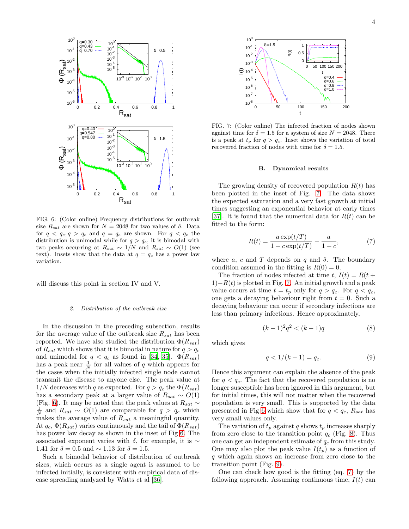

<span id="page-3-0"></span>FIG. 6: (Color online) Frequency distributions for outbreak size  $R_{sat}$  are shown for  $N = 2048$  for two values of  $\delta$ . Data for  $q < q_c, q > q_c$  and  $q = q_c$  are shown. For  $q < q_c$  the distribution is unimodal while for  $q > q_c$ , it is bimodal with two peaks occurring at  $R_{sat} \sim 1/N$  and  $R_{sat} \sim O(1)$  (see text). Insets show that the data at  $q = q_c$  has a power law variation.

will discuss this point in section IV and V.

### *2. Distribution of the outbreak size*

In the discussion in the preceding subsection, results for the average value of the outbreak size  $R_{sat}$  has been reported. We have also studied the distribution  $\Phi(R_{sat})$ of  $R_{sat}$  which shows that it is bimodal in nature for  $q > q_c$ and unimodal for  $q < q_c$  as found in [\[34,](#page-7-9) [35\]](#page-7-10).  $\Phi(R_{sat})$ has a peak near  $\frac{1}{N}$  for all values of q which appears for the cases when the initially infected single node cannot transmit the disease to anyone else. The peak value at  $1/N$  decreases with q as expected. For  $q > q_c$  the  $\Phi(R_{sat})$ has a secondary peak at a larger value of  $R_{sat} \sim O(1)$ (Fig. [6\)](#page-3-0). It may be noted that the peak values at  $R_{sat} \sim$  $\frac{1}{N}$  and  $R_{sat} \sim O(1)$  are comparable for  $q > q_c$  which makes the average value of  $R_{sat}$  a meaningful quantity. At  $q_c$ ,  $\Phi(R_{sat})$  varies continuously and the tail of  $\Phi(R_{sat})$ has power law decay as shown in the inset of Fig [6.](#page-3-0) The associated exponent varies with  $\delta$ , for example, it is  $\sim$ 1.41 for  $\delta = 0.5$  and  $\sim 1.13$  for  $\delta = 1.5$ .

Such a bimodal behavior of distribution of outbreak sizes, which occurs as a single agent is assumed to be infected initially, is consistent with empirical data of disease spreading analyzed by Watts et al [\[36\]](#page-7-11).



<span id="page-3-1"></span>FIG. 7: (Color online) The infected fraction of nodes shown against time for  $\delta = 1.5$  for a system of size  $N = 2048$ . There is a peak at  $t_p$  for  $q > q_c$ . Inset shows the variation of total recovered fraction of nodes with time for  $\delta = 1.5$ .

#### B. Dynamical results

The growing density of recovered population  $R(t)$  has been plotted in the inset of Fig. [7.](#page-3-1) The data shows the expected saturation and a very fast growth at initial times suggesting an exponential behavior at early times [\[37\]](#page-7-12). It is found that the numerical data for  $R(t)$  can be fitted to the form:

<span id="page-3-2"></span>
$$
R(t) = \frac{a \exp(t/T)}{1 + c \exp(t/T)} - \frac{a}{1 + c},
$$
 (7)

where a, c and T depends on q and  $\delta$ . The boundary condition assumed in the fitting is  $R(0) = 0$ .

The fraction of nodes infected at time t,  $I(t) = R(t +$  $1)-R(t)$  is plotted in Fig. [7.](#page-3-1) An initial growth and a peak value occurs at time  $t = t_p$  only for  $q > q_c$ . For  $q < q_c$ , one gets a decaying behaviour right from  $t = 0$ . Such a decaying behaviour can occur if secondary infections are less than primary infections. Hence approximately,

$$
(k-1)^2 q^2 < (k-1)q \tag{8}
$$

which gives

$$
q < 1/(k-1) = q_c. \tag{9}
$$

Hence this argument can explain the absence of the peak for  $q < q_c$ . The fact that the recovered population is no longer susceptible has been ignored in this argument, but for initial times, this will not matter when the recovered population is very small. This is supported by the data presented in Fig [6](#page-3-0) which show that for  $q < q_c$ ,  $R_{sat}$  has very small values only.

The variation of  $t_p$  against q shows  $t_p$  increases sharply from zero close to the transition point  $q_c$  (Fig. [8\)](#page-4-0). Thus one can get an independent estimate of  $q_c$  from this study. One may also plot the peak value  $I(t_p)$  as a function of q which again shows an increase from zero close to the transition point (Fig. [9\)](#page-4-1).

One can check how good is the fitting (eq. [7\)](#page-3-2) by the following approach. Assuming continuous time,  $I(t)$  can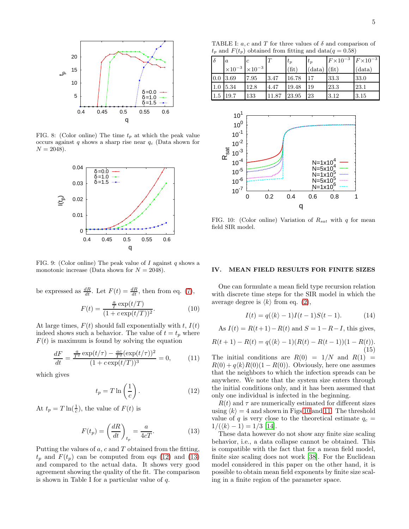

FIG. 8: (Color online) The time  $t_p$  at which the peak value occurs against q shows a sharp rise near  $q_c$  (Data shown for  $N = 2048$ ).

<span id="page-4-0"></span>

<span id="page-4-1"></span>FIG. 9: (Color online) The peak value of I against q shows a monotonic increase (Data shown for  $N = 2048$ ).

be expressed as 
$$
\frac{dR}{dt}
$$
. Let  $F(t) = \frac{dR}{dt}$ , then from eq. (7),

$$
F(t) = \frac{\frac{a}{T} \exp(t/T)}{(1 + c \exp(t/T))^2}.
$$
 (10)

At large times,  $F(t)$  should fall exponentially with t,  $I(t)$ indeed shows such a behavior. The value of  $t = t_p$  where  $F(t)$  is maximum is found by solving the equation

$$
\frac{dF}{dt} = \frac{\frac{a}{T^2} \exp(t/\tau) - \frac{ac}{T^2} (\exp(t/\tau))^2}{(1 + c \exp(t/T))^3} = 0,
$$
\n(11)

which gives

<span id="page-4-2"></span>
$$
t_p = T \ln\left(\frac{1}{c}\right). \tag{12}
$$

At  $t_p = T \ln(\frac{1}{c})$ , the value of  $F(t)$  is

<span id="page-4-3"></span>
$$
F(t_p) = \left(\frac{dR}{dt}\right)_{t_p} = \frac{a}{4cT}.\tag{13}
$$

Putting the values of  $a$ ,  $c$  and  $T$  obtained from the fitting,  $t_p$  and  $F(t_p)$  can be computed from eqs [\(12\)](#page-4-2) and [\(13\)](#page-4-3) and compared to the actual data. It shows very good agreement showing the quality of the fit. The comparison is shown in Table I for a particular value of  $q$ .

TABLE I:  $a, c$  and T for three values of  $\delta$  and comparison of  $t_p$  and  $F(t_p)$  obtained from fitting and data $(q = 0.58)$ 

| $\delta$ | $\boldsymbol{a}$ |                  | T     | $t_p$ | $t_p$  | $F \times 10^{-3}$ $F \times 10^{-3}$ |        |
|----------|------------------|------------------|-------|-------|--------|---------------------------------------|--------|
|          | $\times 10^{-3}$ | $\times 10^{-3}$ |       | (fit) | (data) | (fit)                                 | (data) |
| 0.0      | 3.69             | 7.95             | 3.47  | 16.78 | 17     | 33.3                                  | 33.0   |
| $1.0\,$  | 5.34             | 12.8             | 4.47  | 19.48 | 19     | 23.3                                  | 23.1   |
| $1.5\,$  | 19.7             | 133              | 11.87 | 23.95 | 23     | 3.12                                  | 3.15   |



<span id="page-4-4"></span>FIG. 10: (Color online) Variation of  $R_{sat}$  with q for mean field SIR model.

#### IV. MEAN FIELD RESULTS FOR FINITE SIZES

One can formulate a mean field type recursion relation with discrete time steps for the SIR model in which the average degree is  $\langle k \rangle$  from eq. [\(2\)](#page-1-1),

$$
I(t) = q(\langle k \rangle - 1)I(t - 1)S(t - 1). \tag{14}
$$

As  $I(t) = R(t+1) - R(t)$  and  $S = 1 - R - I$ , this gives,

$$
R(t+1) - R(t) = q(\langle k \rangle - 1)(R(t) - R(t-1))(1 - R(t)).
$$
\n(15)

The initial conditions are  $R(0) = 1/N$  and  $R(1) =$  $R(0) + q\langle k \rangle R(0)(1 - R(0))$ . Obviously, here one assumes that the neighbors to which the infection spreads can be anywhere. We note that the system size enters through the initial conditions only, and it has been assumed that only one individual is infected in the beginning.

 $R(t)$  and  $\tau$  are numerically estimated for different sizes using  $\langle k \rangle = 4$  and shown in Figs [10](#page-4-4) and [11.](#page-5-0) The threshold value of q is very close to the theoretical estimate  $q_c =$  $1/(\langle k \rangle - 1) = 1/3$  [\[14\]](#page-6-9).

These data however do not show any finite size scaling behavior, i.e., a data collapse cannot be obtained. This is compatible with the fact that for a mean field model, finite size scaling does not work [\[38](#page-7-13)]. For the Euclidean model considered in this paper on the other hand, it is possible to obtain mean field exponents by finite size scaling in a finite region of the parameter space.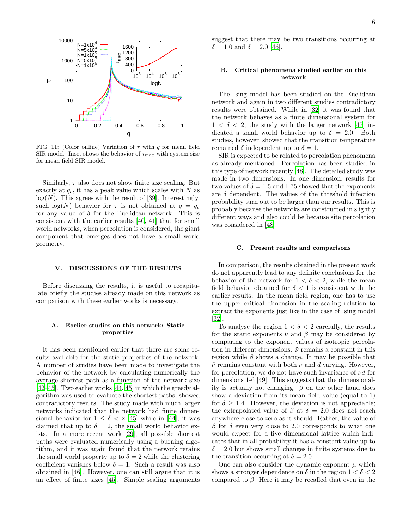

<span id="page-5-0"></span>FIG. 11: (Color online) Variation of  $\tau$  with q for mean field SIR model. Inset shows the behavior of  $\tau_{max}$  with system size for mean field SIR model.

Similarly,  $\tau$  also does not show finite size scaling. But exactly at  $q_c$ , it has a peak value which scales with N as  $log(N)$ . This agrees with the result of [\[39\]](#page-7-14). Interestingly, such  $log(N)$  behavior for  $\tau$  is not obtained at  $q = q_c$ for any value of  $\delta$  for the Euclidean network. This is consistent with the earlier results [\[40](#page-7-15), [41\]](#page-7-16) that for small world networks, when percolation is considered, the giant component that emerges does not have a small world geometry.

## V. DISCUSSIONS OF THE RESULTS

Before discussing the results, it is useful to recapitulate briefly the studies already made on this network as comparison with these earlier works is necessary.

## A. Earlier studies on this network: Static properties

It has been mentioned earlier that there are some results available for the static properties of the network. A number of studies have been made to investigate the behavior of the network by calculating numerically the average shortest path as a function of the network size [\[42](#page-7-17)[–45\]](#page-7-18). Two earlier works [\[44,](#page-7-19) [45\]](#page-7-18) in which the greedy algorithm was used to evaluate the shortest paths, showed contradictory results. The study made with much larger networks indicated that the network had finite dimensional behavior for  $1 \leq \delta < 2$  [\[45\]](#page-7-18) while in [\[44\]](#page-7-19), it was claimed that up to  $\delta = 2$ , the small world behavior exists. In a more recent work [\[29\]](#page-7-4), all possible shortest paths were evaluated numerically using a burning algorithm, and it was again found that the network retains the small world property up to  $\delta = 2$  while the clustering coefficient vanishes below  $\delta = 1$ . Such a result was also obtained in [\[46](#page-7-20)]. However, one can still argue that it is an effect of finite sizes [\[45\]](#page-7-18). Simple scaling arguments suggest that there may be two transitions occurring at  $\delta = 1.0$  and  $\delta = 2.0$  [\[46](#page-7-20)].

## B. Critical phenomena studied earlier on this network

The Ising model has been studied on the Euclidean network and again in two different studies contradictory results were obtained. While in [\[32\]](#page-7-7) it was found that the network behaves as a finite dimensional system for  $1 < \delta < 2$ , the study with the larger network [\[47](#page-7-21)] indicated a small world behavior up to  $\delta = 2.0$ . Both studies, however, showed that the transition temperature remained  $\delta$  independent up to  $\delta = 1$ .

SIR is expected to be related to percolation phenomena as already mentioned. Percolation has been studied in this type of network recently [\[48\]](#page-7-22). The detailed study was made in two dimensions. In one dimension, results for two values of  $\delta = 1.5$  and 1.75 showed that the exponents are  $\delta$  dependent. The values of the threshold infection probability turn out to be larger than our results. This is probably because the networks are constructed in slightly different ways and also could be because site percolation was considered in [\[48](#page-7-22)].

#### C. Present results and comparisons

In comparison, the results obtained in the present work do not apparently lead to any definite conclusions for the behavior of the network for  $1 < \delta < 2$ , while the mean field behavior obtained for  $\delta < 1$  is consistent with the earlier results. In the mean field region, one has to use the upper critical dimension in the scaling relation to extract the exponents just like in the case of Ising model [\[32\]](#page-7-7).

To analyse the region  $1 < \delta < 2$  carefully, the results for the static exponents  $\tilde{\nu}$  and  $\beta$  may be considered by comparing to the exponent values of isotropic percolation in different dimensions.  $\tilde{\nu}$  remains a constant in this region while  $\beta$  shows a change. It may be possible that  $\tilde{\nu}$  remains constant with both  $\nu$  and d varying. However, for percolation, we do not have such invariance of  $\nu d$  for dimensions 1-6 [\[49](#page-7-23)]. This suggests that the dimensionality is actually not changing.  $\beta$  on the other hand does show a deviation from its mean field value (equal to 1) for  $\delta \geq 1.4$ . However, the deviation is not appreciable; the extrapolated value of  $\beta$  at  $\delta = 2.0$  does not reach anywhere close to zero as it should. Rather, the value of  $β$  for  $δ$  even very close to 2.0 corresponds to what one would expect for a five dimensional lattice which indicates that in all probability it has a constant value up to  $\delta = 2.0$  but shows small changes in finite systems due to the transition occurring at  $\delta = 2.0$ .

One can also consider the dynamic exponent  $\mu$  which shows a stronger dependence on  $\delta$  in the region  $1 < \delta < 2$ compared to  $\beta$ . Here it may be recalled that even in the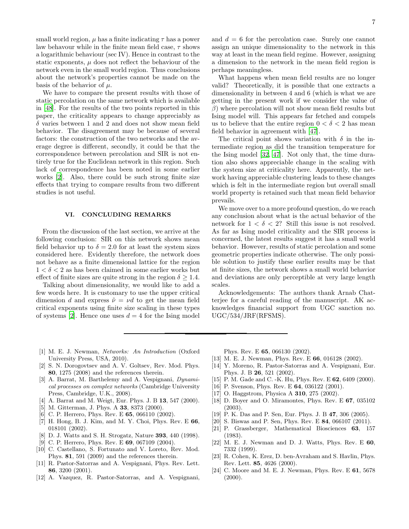small world region,  $\mu$  has a finite indicating  $\tau$  has a power law behavour while in the finite mean field case,  $\tau$  shows a logarithmic behaviour (sec IV). Hence in contrast to the static exponents,  $\mu$  does not reflect the behaviour of the network even in the small world region. Thus conclusions about the network's properties cannot be made on the basis of the behavior of  $\mu$ .

We have to compare the present results with those of static percolation on the same network which is available in [\[48](#page-7-22)]. For the results of the two points reported in this paper, the criticality appears to change appreciably as  $\delta$  varies between 1 and 2 and does not show mean field behavior. The disagreement may be because of several factors: the construction of the two networks and the average degree is different, secondly, it could be that the correspondence between percolation and SIR is not entirely true for the Euclidean network in this region. Such lack of correspondence has been noted in some earlier works [\[2](#page-6-2)]. Also, there could be such strong finite size effects that trying to compare results from two different studies is not useful.

## VI. CONCLUDING REMARKS

From the discussion of the last section, we arrive at the following conclusion: SIR on this network shows mean field behavior up to  $\delta = 2.0$  for at least the system sizes considered here. Evidently therefore, the network does not behave as a finite dimensional lattice for the region  $1 < \delta < 2$  as has been claimed in some earlier works but effect of finite sizes are quite strong in the region  $\delta \geq 1.4$ .

Talking about dimensionality, we would like to add a few words here. It is customary to use the upper critical dimension d and express  $\tilde{\nu} = \nu d$  to get the mean field critical exponents using finite size scaling in these types of systems [\[2](#page-6-2)]. Hence one uses  $d = 4$  for the Ising model

What happens when mean field results are no longer valid? Theoretically, it is possible that one extracts a dimensionality in between 4 and 6 (which is what we are getting in the present work if we consider the value of  $\beta$ ) where percolation will not show mean field results but Ising model will. This appears far fetched and compels us to believe that the entire region  $0 < \delta < 2$  has mean field behavior in agreement with [\[47](#page-7-21)].

The critical point shows variation with  $\delta$  in the intermediate region as did the transition temperature for the Ising model [\[32](#page-7-7), [47\]](#page-7-21). Not only that, the time duration also shows appreciable change in the scaling with the system size at criticality here. Apparently, the network having appreciable clustering leads to these changes which is felt in the intermediate region but overall small world property is retained such that mean field behavior prevails.

We move over to a more profound question, do we reach any conclusion about what is the actual behavior of the network for  $1 < \delta < 2$ ? Still this issue is not resolved. As far as Ising model criticality and the SIR process is concerned, the latest results suggest it has a small world behavior. However, results of static percolation and some geometric properties indicate otherwise. The only possible solution to justify these earlier results may be that at finite sizes, the network shows a small world behavior and deviations are only perceptible at very large length scales.

Acknowledgements: The authors thank Arnab Chatterjee for a careful reading of the manuscript. AK acknowledges financial support from UGC sanction no. UGC/534/JRF(RFSMS).

- <span id="page-6-0"></span>[1] M. E. J. Newman, *Networks: An Introduction* (Oxford University Press, USA, 2010).
- <span id="page-6-2"></span>[2] S. N. Dorogovtsev and A. V. Goltsev, Rev. Mod. Phys. 80, 1275 (2008) and the references therein.
- <span id="page-6-1"></span>[3] A. Barrat, M. Barthelemy and A. Vespignani, *Dynamical processes on complex networks* (Cambridge University Press, Cambridge, U.K., 2008).
- <span id="page-6-3"></span>[4] A. Barrat and M. Weigt, Eur. Phys. J. B 13, 547 (2000).
- [5] M. Gitterman, J. Phys. A **33**, 8373 (2000).
- <span id="page-6-16"></span>[6] C. P. Herrero, Phys. Rev. E **65**, 066110 (2002).
- <span id="page-6-4"></span>[7] H. Hong, B. J. Kim, and M. Y. Choi, Phys. Rev. E 66, 018101 (2002).
- <span id="page-6-5"></span>[8] D. J. Watts and S. H. Strogatz, Nature 393, 440 (1998).
- <span id="page-6-6"></span>[9] C. P. Herrero, Phys. Rev. E **69**, 067109 (2004).
- <span id="page-6-7"></span>[10] C. Castellano, S. Fortunato and V. Loreto, Rev. Mod. Phys. 81, 591 (2009) and the references therein.
- <span id="page-6-8"></span>[11] R. Pastor-Satorras and A. Vespignani, Phys. Rev. Lett. 86, 3200 (2001).
- [12] A. Vazquez, R. Pastor-Satorras, and A. Vespignani,

Phys. Rev. E 65, 066130 (2002).

- [13] M. E. J. Newman, Phys. Rev. E 66, 016128 (2002).
- <span id="page-6-9"></span>[14] Y. Moreno, R. Pastor-Satorras and A. Vespignani, Eur. Phys. J. B 26, 521 (2002).
- <span id="page-6-10"></span>[15] P. M. Gade and C. -K. Hu, Phys. Rev. E **62**, 6409 (2000).
- <span id="page-6-11"></span>[16] P. Svenson, Phys. Rev. E **64**, 036122 (2001).
- [17] O. Haggstrom, Physica A **310**, 275 (2002).
- [18] D. Boyer and O. Miramontes, Phys. Rev. E 67, 035102 (2003).
- [19] P. K. Das and P. Sen, Eur. Phys. J. B 47, 306 (2005).
- <span id="page-6-12"></span>[20] S. Biswas and P. Sen, Phys. Rev. E 84, 066107 (2011).
- <span id="page-6-13"></span>[21] P. Grassberger, Mathematical Biosciences 63, 157 (1983).
- <span id="page-6-14"></span>[22] M. E. J. Newman and D. J. Watts, Phys. Rev. E 60, 7332 (1999).
- [23] R. Cohen, K. Erez, D. ben-Avraham and S. Havlin, Phys. Rev. Lett. 85, 4626 (2000).
- <span id="page-6-15"></span>[24] C. Moore and M. E. J. Newman, Phys. Rev. E 61, 5678  $(2000).$